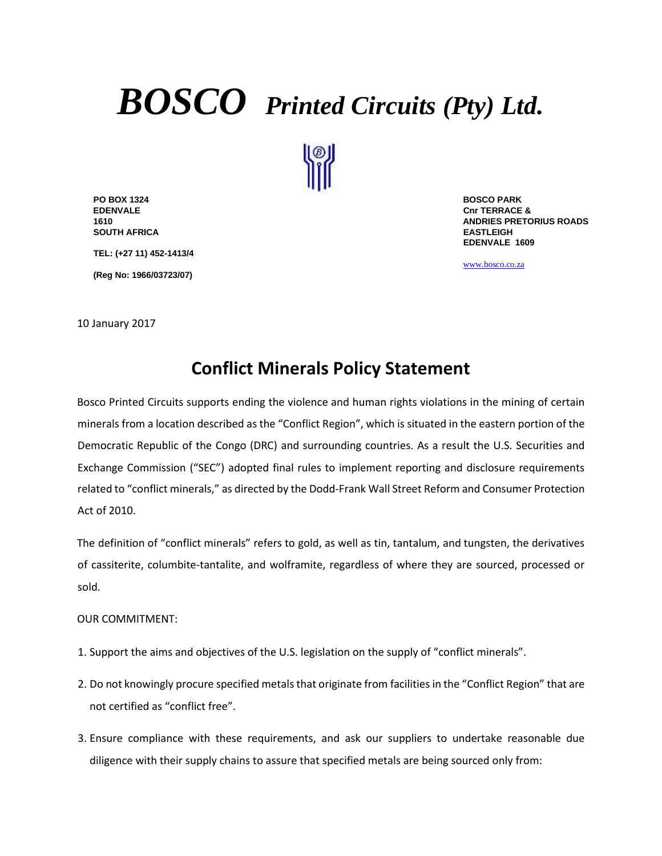## *BOSCO Printed Circuits (Pty) Ltd.*



**PO BOX 1324** BOSCO PARK **EDENVALE** CONTROLLER CONTROLLER AND CONTROLLER CONTROLLER CONTROLLER CONTROLLER AND CONTROLLER ASSOCIATED AT A CONTROLLER CONTROLLER ASSOCIATED AT A CONTROLLER ASSOCIATED AT A CONTROLLER CONTROLLER ASSOCIATED AT A CONTROL **SOUTH AFRICA EASTLEIGH** 

**TEL: (+27 11) 452-1413/4** 

**(Reg No: 1966/03723/07)** 

**1610 ANDRIES PRETORIUS ROADS EDENVALE 1609** 

[www.bosco.co.za](http://www.bosco.co.za/)

10 January 2017

## **Conflict Minerals Policy Statement**

Bosco Printed Circuits supports ending the violence and human rights violations in the mining of certain minerals from a location described as the "Conflict Region", which is situated in the eastern portion of the Democratic Republic of the Congo (DRC) and surrounding countries. As a result the U.S. Securities and Exchange Commission ("SEC") adopted final rules to implement reporting and disclosure requirements related to "conflict minerals," as directed by the Dodd-Frank Wall Street Reform and Consumer Protection Act of 2010.

The definition of "conflict minerals" refers to gold, as well as tin, tantalum, and tungsten, the derivatives of cassiterite, columbite-tantalite, and wolframite, regardless of where they are sourced, processed or sold.

## OUR COMMITMENT:

- 1. Support the aims and objectives of the U.S. legislation on the supply of "conflict minerals".
- 2. Do not knowingly procure specified metals that originate from facilities in the "Conflict Region" that are not certified as "conflict free".
- 3. Ensure compliance with these requirements, and ask our suppliers to undertake reasonable due diligence with their supply chains to assure that specified metals are being sourced only from: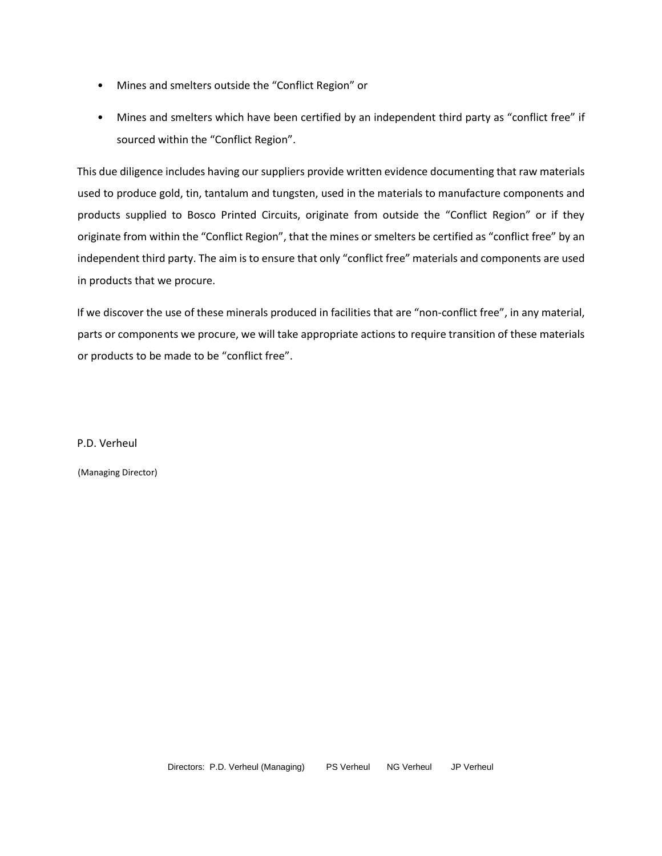- Mines and smelters outside the "Conflict Region" or
- Mines and smelters which have been certified by an independent third party as "conflict free" if sourced within the "Conflict Region".

This due diligence includes having our suppliers provide written evidence documenting that raw materials used to produce gold, tin, tantalum and tungsten, used in the materials to manufacture components and products supplied to Bosco Printed Circuits, originate from outside the "Conflict Region" or if they originate from within the "Conflict Region", that the mines or smelters be certified as "conflict free" by an independent third party. The aim is to ensure that only "conflict free" materials and components are used in products that we procure.

If we discover the use of these minerals produced in facilities that are "non-conflict free", in any material, parts or components we procure, we will take appropriate actions to require transition of these materials or products to be made to be "conflict free".

P.D. Verheul

(Managing Director)